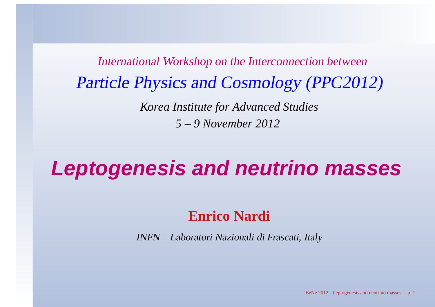International Workshop on the Interconnection betweenParticle Physics and Cosmology (PPC2012)*Korea Institute for Advanced Studies5 – 9 November 2012*

**Leptogenesis and neutrino masses**

## **Enrico Nardi**

INFN – Laboratori Nazionali di Frascati, Italy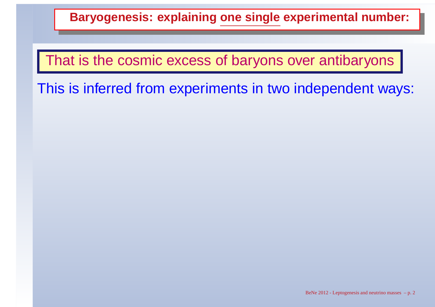## **Baryogenesis: explaining one single experimental number:**

## That is the cosmic excess of baryons over antibaryons

This is inferred from experiments in two independent ways: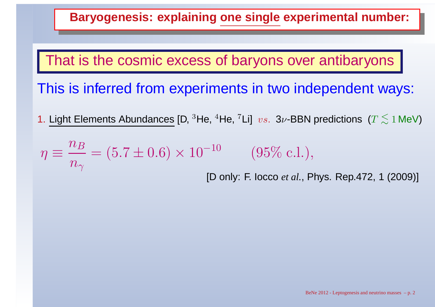## **Baryogenesis: explaining one single experimental number:**

That is the cosmic excess of baryons over antibaryons

This is inferred from experiments in two independent ways:

1. Light Elements Abundances [D,  $^3$ He,  $^4$ He,  $^7$ Li]  $\ vs. \ \ 3\nu$ -BBN predictions ( $T\lesssim$  $\lesssim 1$  MeV)

$$
\eta \equiv \frac{n_B}{n_\gamma} = (5.7 \pm 0.6) \times 10^{-10}
$$
 (95% c.l.),  
[D only: F. locco *et al.*, Phys. Rep.472, 1 (2009)]

BeNe 2012 - Leptogenesis and neutrino masses – p. 2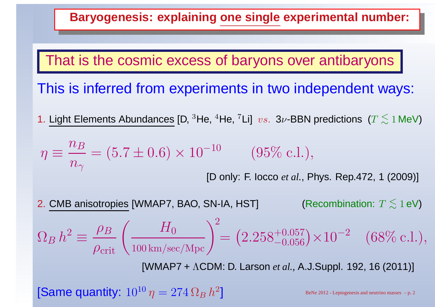## **Baryogenesis: explaining one single experimental number:**

## That is the cosmic excess of baryons over antibaryons

## This is inferred from experiments in two independent ways:

1. Light Elements Abundances [D,  $^3$ He,  $^4$ He,  $^7$ Li]  $\ vs. \ \ 3\nu$ -BBN predictions ( $T\lesssim$  $\lesssim 1$  MeV)

$$
\eta \equiv \frac{n_B}{n_\gamma} = (5.7 \pm 0.6) \times 10^{-10}
$$
 (95% c.l.),  
[D only: F. locco *et al.*, Phys. Rep.472, 1 (2009)]

2. CMB anisotropies [WMAP7, BAO, SN-IA, HST] (Recombination:  $T\leq$  $\lesssim 1$  eV)

$$
\Omega_B h^2 \equiv \frac{\rho_B}{\rho_{\text{crit}}} \left( \frac{H_0}{100 \text{ km/sec/Mpc}} \right)^2 = \left( 2.258^{+0.057}_{-0.056} \right) \times 10^{-2} \quad (68\% \text{ c.l.}),
$$

[WMAP7 <sup>+</sup>ΛCDM: D. Larson *et al.,* A.J.Suppl. 192, <sup>16</sup> (2011)]

[Same quantity:  $10^{10}\,\eta = 274\,\Omega_B\,h^2$  $^2\rrbracket$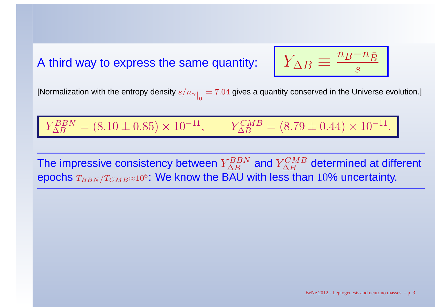### A third way to express the same quantity:



[Normalization with the entropy density  $s/n_{\gamma}\big|_0 = 7.04$  gives a quantity conserved in the Universe evolution.]

$$
Y_{\Delta B}^{BBN} = (8.10 \pm 0.85) \times 10^{-11}, \qquad Y_{\Delta B}^{CMB} = (8.79 \pm 0.44) \times 10^{-11}.
$$

The impressive consistency between  $Y_{\Delta B}^{BBN}$   $^{BBN}_{B}$  and  $Y^{CMB}_{\Delta B}$  $\frac{d}{d}$  determined at different<br>than 10% uncertainty epochs  $_{T_{BBN}/T_{CMB}\approx 10^6}$ : We know the BAU with less than  $10\%$  uncertainty.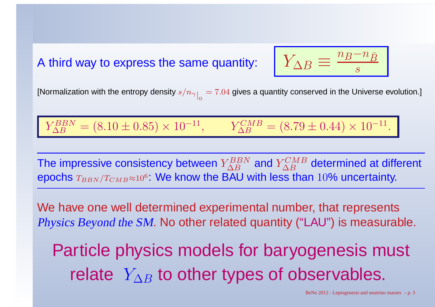### A third way to express the same quantity:



[Normalization with the entropy density  $s/n_{\gamma}\big|_0 = 7.04$  gives a quantity conserved in the Universe evolution.]

$$
Y_{\Delta B}^{BBN} = (8.10 \pm 0.85) \times 10^{-11}, \qquad Y_{\Delta B}^{CMB} = (8.79 \pm 0.44) \times 10^{-11}.
$$

The impressive consistency between  $Y_{\Delta B}^{BBN}$   $^{BBN}_{B}$  and  $Y^{CMB}_{\Delta B}$  $\frac{d}{d}$  determined at different<br>than 10% uncertainty epochs  $_{T_{BBN}/T_{CMB}\approx 10^6}$ : We know the BAU with less than  $10\%$  uncertainty.

We have one well determined experimental number, that representsPhysics Beyond the SM. No other related quantity ("LAU") is measurable.

Particle physics models for baryogenesis must relate  $Y_{\Delta B}$  $_B$  to other types of observables.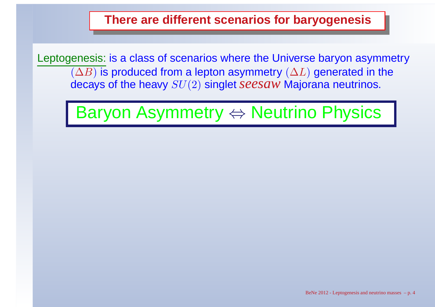**There are different scenarios for baryogenesis**

Leptogenesis: is <sup>a</sup> class of scenarios where the Universe baryon asymmetry $(\Delta B)$  is produced from a lepton asymmetry  $(\Delta L)$  generated in the  $\alpha$  arave of the heavy  $ST(2)$  singlet  $\alpha\rho$  square decays of the heavy SU(2) singlet *seesaw* Majorana neutrinos.

Baryon Asymmetry ⇔ Neutrino Physics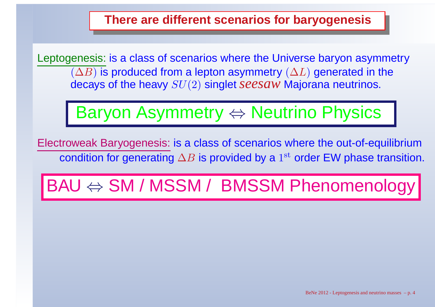**There are different scenarios for baryogenesis**

Leptogenesis: is <sup>a</sup> class of scenarios where the Universe baryon asymmetry $(\Delta B)$  is produced from a lepton asymmetry  $(\Delta L)$  generated in the  $\alpha$  arave of the heavy  $ST(2)$  singlet  $\alpha\rho$  square decays of the heavy SU(2) singlet *seesaw* Majorana neutrinos.

# Baryon Asymmetry ⇔ Neutrino Physics

Electroweak Baryogenesis: is <sup>a</sup> class of scenarios where the out-of-equilibriumcondition for generating  $\Delta B$  is provided by a  $1^{\text{st}}$  order EW phase transition.

# BAU ⇔ SM / MSSM / BMSSM Phenomenology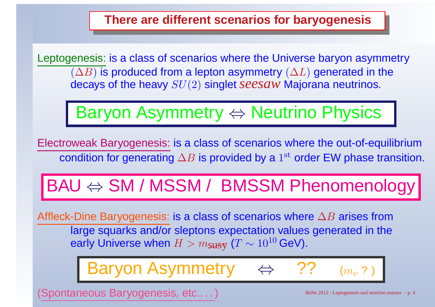**There are different scenarios for baryogenesis**

Leptogenesis: is <sup>a</sup> class of scenarios where the Universe baryon asymmetry $(\Delta B)$  is produced from a lepton asymmetry  $(\Delta L)$  generated in the  $\alpha$  arave of the heavy  $ST(2)$  singlet  $\alpha\rho$  square decays of the heavy SU(2) singlet *seesaw* Majorana neutrinos.

# Baryon Asymmetry ⇔ Neutrino Physics

Electroweak Baryogenesis: is <sup>a</sup> class of scenarios where the out-of-equilibriumcondition for generating  $\Delta B$  is provided by a  $1^{\text{st}}$  order EW phase transition.

# BAU ⇔ SM / MSSM / BMSSM Phenomenology

Affleck-Dine Baryogenesis: is a class of scenarios where ∆B arises from large squarks and/or sleptons expectation values generated in theearly Universe when  $H > m_{\mathbf{SUSY}}$  $(T \sim$  $\sim 10^{10}$  GeV).

> Baryon Asymmetry⇔ ??  $(m_\nu$  $_{\nu}$  ? )

ontaneous Baryogenesis, etc.. . . )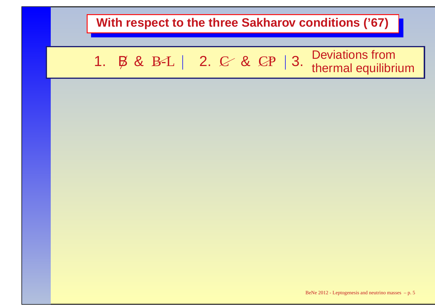

### 1.  $\beta$  & B-L | 2.  $\mathcal{C}$  & Deviations from<br>thermal equilibrium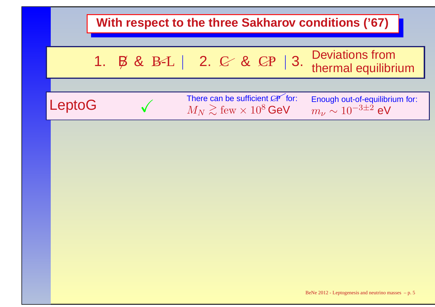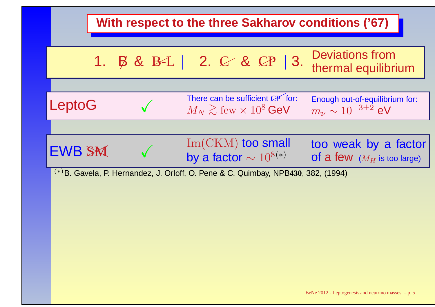|                                                                                     |  | With respect to the three Sakharov conditions ('67)                                  |                                                                   |  |  |  |
|-------------------------------------------------------------------------------------|--|--------------------------------------------------------------------------------------|-------------------------------------------------------------------|--|--|--|
| $1_{\cdot}$                                                                         |  | B & B-L   2. C & CP   3.                                                             | <b>Deviations from</b><br>thermal equilibrium                     |  |  |  |
|                                                                                     |  |                                                                                      |                                                                   |  |  |  |
| LeptoG                                                                              |  | There can be sufficient CP for:<br>$M_N \gtrsim \text{few} \times 10^8 \,\text{GeV}$ | Enough out-of-equilibrium for:<br>$m_{\nu} \sim 10^{-3 \pm 2}$ eV |  |  |  |
|                                                                                     |  |                                                                                      |                                                                   |  |  |  |
| <b>EWB SM</b>                                                                       |  | $Im(CKM)$ too small<br>by a factor $\sim 10^{8(*)}$                                  | too weak by a factor<br>of a few $(M_H$ is too large)             |  |  |  |
| $(*)$ B. Gavela, P. Hernandez, J. Orloff, O. Pene & C. Quimbay, NPB430, 382, (1994) |  |                                                                                      |                                                                   |  |  |  |
|                                                                                     |  |                                                                                      |                                                                   |  |  |  |
|                                                                                     |  |                                                                                      |                                                                   |  |  |  |
|                                                                                     |  |                                                                                      |                                                                   |  |  |  |
|                                                                                     |  |                                                                                      |                                                                   |  |  |  |
|                                                                                     |  |                                                                                      | BeNe 2012 - Leptogenesis and neutrino masses $-$ p. 5             |  |  |  |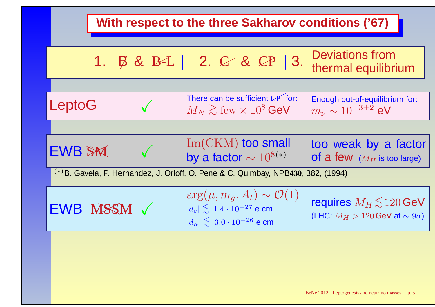|                                                                                     | With respect to the three Sakharov conditions ('67)                                                                                         |                                                                              |  |  |  |  |
|-------------------------------------------------------------------------------------|---------------------------------------------------------------------------------------------------------------------------------------------|------------------------------------------------------------------------------|--|--|--|--|
|                                                                                     | 1. $\beta$ & B-L   2. $\mathcal{C}$ & $\mathcal{C}P$   3.                                                                                   | <b>Deviations from</b><br>thermal equilibrium                                |  |  |  |  |
| LeptoG                                                                              | There can be sufficient CP for:<br>$M_N \gtrsim \text{few} \times 10^8$ GeV                                                                 | Enough out-of-equilibrium for:<br>$m_{\nu} \sim 10^{-3 \pm 2}$ eV            |  |  |  |  |
| <b>EWB SM</b>                                                                       | $Im(CKM)$ too small<br>by a factor $\sim 10^{8(*)}$                                                                                         | too weak by a factor<br><b>of a few</b> $(M_H$ is too large)                 |  |  |  |  |
| $(*)$ B. Gavela, P. Hernandez, J. Orloff, O. Pene & C. Quimbay, NPB430, 382, (1994) |                                                                                                                                             |                                                                              |  |  |  |  |
| EWB MSSM V                                                                          | $\arg(\mu, m_{\tilde{q}}, A_t) \sim \mathcal{O}(1)$<br>$ d_e  \lesssim 1.4 \cdot 10^{-27}$ e cm<br>$ d_n  \lesssim 3.0 \cdot 10^{-26}$ e cm | requires $M_H \lesssim 120$ GeV<br>(LHC: $M_H > 120$ GeV at $\sim 9\sigma$ ) |  |  |  |  |
|                                                                                     |                                                                                                                                             |                                                                              |  |  |  |  |
|                                                                                     |                                                                                                                                             | BeNe 2012 - Leptogenesis and neutrino masses $-p.5$                          |  |  |  |  |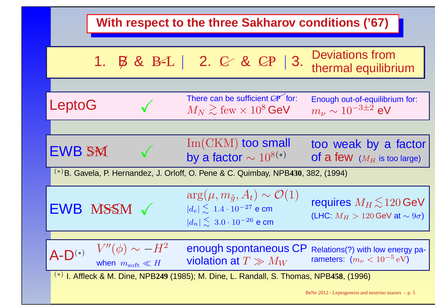|                                                                                              | With respect to the three Sakharov conditions ('67)   |  |                                                                                                                                        |                                                                              |  |  |
|----------------------------------------------------------------------------------------------|-------------------------------------------------------|--|----------------------------------------------------------------------------------------------------------------------------------------|------------------------------------------------------------------------------|--|--|
|                                                                                              |                                                       |  | 1. B & B-L   2. C & CP   3.                                                                                                            | <b>Deviations from</b><br>thermal equilibrium                                |  |  |
| LeptoG                                                                                       |                                                       |  | There can be sufficient CP for:<br>$M_N \gtrsim \text{few} \times 10^8 \,\text{GeV}$                                                   | Enough out-of-equilibrium for:<br>$m_{\nu} \sim 10^{-3 \pm 2}$ eV            |  |  |
| <b>EWB SM</b>                                                                                |                                                       |  | $Im(CKM)$ too small<br>by a factor $\sim 10^{8(*)}$                                                                                    | too weak by a factor<br><b>of a few</b> $(M_H$ is too large)                 |  |  |
| $(*)$ B. Gavela, P. Hernandez, J. Orloff, O. Pene & C. Quimbay, NPB430, 382, (1994)          |                                                       |  |                                                                                                                                        |                                                                              |  |  |
|                                                                                              | EWB MSSM V                                            |  | $\arg(\mu, m_{\tilde{q}}, A_t) \sim \mathcal{O}(1)$<br>$ d_e  \le 1.4 \cdot 10^{-27}$ e cm<br>$ d_n  \lesssim 3.0 \cdot 10^{-26}$ e cm | requires $M_H \lesssim 120$ GeV<br>(LHC: $M_H > 120$ GeV at $\sim 9\sigma$ ) |  |  |
|                                                                                              |                                                       |  |                                                                                                                                        |                                                                              |  |  |
| $A-D^{(*)}$                                                                                  | $V''(\phi) \sim -H^2$<br>when $m_{\text{soft}} \ll H$ |  | enough spontaneous CP<br>violation at $T \gg M_W$                                                                                      | Relations(?) with low energy pa-<br>rameters: $(m_\nu < 10^{-5} \text{ eV})$ |  |  |
| $^{(*)}$ I. Affleck & M. Dine, NPB249 (1985); M. Dine, L. Randall, S. Thomas, NPB458, (1996) |                                                       |  |                                                                                                                                        |                                                                              |  |  |
|                                                                                              |                                                       |  |                                                                                                                                        | BeNe 2012 - Leptogenesis and neutrino masses $-p.5$                          |  |  |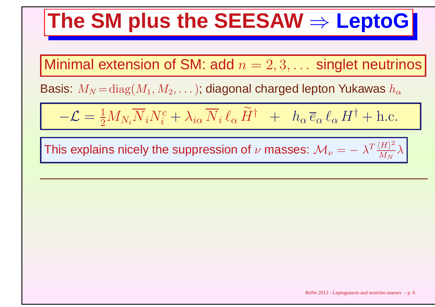# **The SM plus the SEESAW**⇒ **LeptoG**

Minimal extension of SM: add  $n = 2, 3, \ldots$  singlet neutrinos

Basis:  $M_N\!=\!{\rm diag}(M_1,M_2,\dots)$ ; diagonal charged lepton Yukawas  $h_\alpha$ 

$$
-\mathcal{L} = \frac{1}{2} M_{N_i} \overline{N}_i N_i^c + \lambda_{i\alpha} \overline{N}_i \ell_\alpha \widetilde{H}^\dagger + h_\alpha \overline{e}_\alpha \ell_\alpha H^\dagger + \text{h.c.}
$$

This explains nicely the suppression of  $\nu$  masses:  $\mathcal{M}_{\nu}=-\lambda^T\frac{\langle H\rangle^2}{M_N}$  $\overline{\stackrel{\cdot}{M}_N}$ λ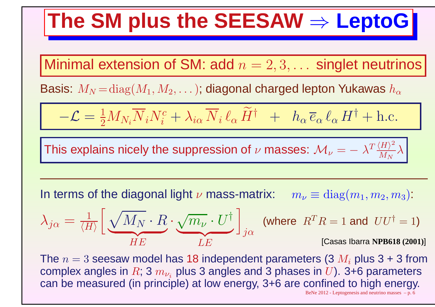# **The SM plus the SEESAW**⇒ **LeptoG**

Minimal extension of SM: add  $n = 2, 3, \ldots$  singlet neutrinos

Basis:  $M_N\!=\!{\rm diag}(M_1,M_2,\dots)$ ; diagonal charged lepton Yukawas  $h_\alpha$ 

$$
-\mathcal{L} = \frac{1}{2} M_{N_i} \overline{N}_i N_i^c + \lambda_{i\alpha} \overline{N}_i \ell_\alpha \widetilde{H}^{\dagger} + h_\alpha \overline{e}_\alpha \ell_\alpha H^{\dagger} + \text{h.c.}
$$

This explains nicely the suppression of  $\nu$  masses:  $\mathcal{M}_{\nu}=-\lambda^T\frac{\langle H\rangle^2}{M_N}$  $\overline{\stackrel{\cdot}{M}_N}$ λ

In terms of the diagonal light  $\nu$  mass-matrix:  $m_{\nu}\equiv{\rm diag}(m_1,m_2,m_3)$ :

$$
\lambda_{j\alpha} = \frac{1}{\langle H \rangle} \left[ \underbrace{\sqrt{M_N} \cdot R}_{HE} \cdot \underbrace{\sqrt{m_{\nu}} \cdot U^{\dagger}}_{LE} \right]_{j\alpha} \text{ (where } R^T R = 1 \text{ and } UU^{\dagger} = 1 \text{)}
$$
\n[Casas Ibarra NPB618 (2001)]

The  $n = 3$  seesaw model has 18 independent parameters  $(3 M_i$  plus 3 + 3 from mnlay anglac in  $R^*{\mathbb R}$  m – nluc  ${\mathbb R}$  anglac and  ${\mathbb R}$  nhacac in  $I/\Gamma$  . The naramatars complex angles in  $R$ ; 3  $m_{\nu_i}$  plus 3 angles and 3 phases in  $U$ ). 3+6 parameters can be measured (in principle) at low energy, 3+6 are confined to high energy. BeNe  $2012$  - Leptogenesis and neutrino masses  $-$  p. 6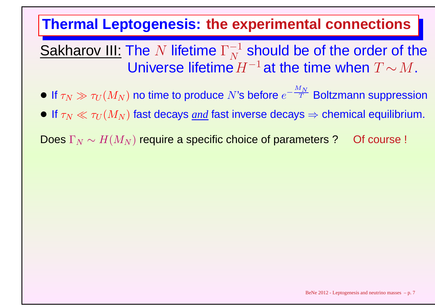## **Thermal Leptogenesis: the experimental connections**

 $\underline{\textsf{Sakharov III:}}$  The  $N$  lifetime  $\Gamma_N^-$ Universe lifetime $H^{-1}$ at the time when  $T\!\sim\!M.$ 1 $\,N$  $\frac{-1}{N}$  should be of the order of the<br> $\frac{1}{N}H^{-1}$  at the time when  $T$  and  $M$ 

- $\bullet$  If  $\tau_N \gg \tau_U(M_N)$  no time to produce  $N$ 's before  $e^ \boldsymbol{M}$  $\,N$  $\vec{\tau}^{\texttt{+}}$  Boltzmann suppression
- $\bullet$  If  $\tau_N \ll \tau_U(M_N)$  fast decays <u>and</u> fast inverse decays  $\Rightarrow$  chemical equilibrium.

Does  $\Gamma_N\sim H(M_N)$  require a specific choice of parameters ? Of course !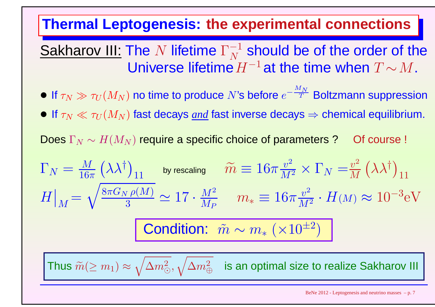## **Thermal Leptogenesis: the experimental connections**

 $\underline{\textsf{Sakharov III:}}$  The  $N$  lifetime  $\Gamma_N^-$ Universe lifetime $H^{-1}$ at the time when  $T\!\sim\!M.$ 1 $\,N$  $\frac{-1}{N}$  should be of the order of the<br> $\frac{1}{N}H^{-1}$  at the time when  $T$  and  $M$ 

- $\bullet$  If  $\tau_N \gg \tau_U(M_N)$  no time to produce  $N$ 's before  $e^ \boldsymbol{M}$  $\,N$  $\vec{\tau}^{\texttt{+}}$  Boltzmann suppression
- $\bullet$  If  $\tau_N \ll \tau_U(M_N)$  fast decays <u>and</u> fast inverse decays  $\Rightarrow$  chemical equilibrium.

Does  $\Gamma_N\sim H(M_N)$  require a specific choice of parameters ? Of course !

$$
\Gamma_N = \frac{M}{16\pi} (\lambda \lambda^{\dagger})_{11} \text{ by rescaling} \quad \widetilde{m} \equiv 16\pi \frac{v^2}{M^2} \times \Gamma_N = \frac{v^2}{M} (\lambda \lambda^{\dagger})_{11}
$$
\n
$$
H \big|_M = \sqrt{\frac{8\pi G_N \rho(M)}{3}} \simeq 17 \cdot \frac{M^2}{M_P} \quad m_* \equiv 16\pi \frac{v^2}{M^2} \cdot H(M) \approx 10^{-3} \text{eV}
$$
\n**Condition:**  $\widetilde{m} \sim m_* (\times 10^{\pm 2})$ 

\nThus  $\widetilde{m} (\ge m_1) \approx \sqrt{\Delta m_{\odot}^2}, \sqrt{\Delta m_{\oplus}^2}$  is an optimal size to realize Sakharov III.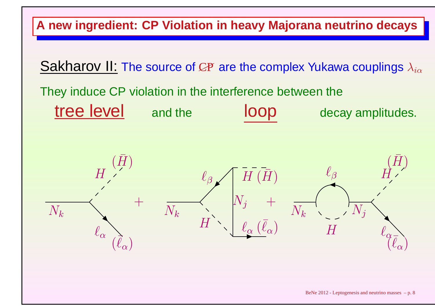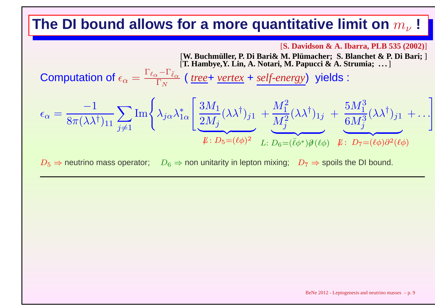#### **The DI bound allows for a more quantitative limit on**  $m_\nu$  $\frac{1}{\nu}$

#### [**S. Davidson & A. Ibarra, PLB 535 (2002)**]

[W. Buchmüller, P. Di Bari& M. Plümacher; S. Blanchet & P. Di Bari; ] [T. Hambye, Y. Lin, A. Notari, M. Papucci & A. Strumia; ...]

Computation of  $\epsilon_\alpha=$ Γ $\frac{\ell\alpha}{}$ Γ $^{\mathbf{\mathbf{1}}}\,\bar{\ell}_{\alpha}$  $\frac{f_{\alpha} - f_{\alpha}}{\Gamma_N}$  ( <u>tree</u>+ <u>vertex</u> + <u>self-energy</u>) yields :

$$
\epsilon_{\alpha} = \frac{-1}{8\pi(\lambda\lambda^{\dagger})_{11}} \sum_{j\neq 1} \text{Im}\left\{\lambda_{j\alpha}\lambda_{1\alpha}^{*}\left[\frac{3M_{1}}{2M_{j}}(\lambda\lambda^{\dagger})_{j1} + \frac{M_{1}^{2}}{M_{j}^{2}}(\lambda\lambda^{\dagger})_{1j} + \frac{5M_{1}^{3}}{6M_{j}^{3}}(\lambda\lambda^{\dagger})_{j1} + \dots\right] \right\}
$$
  

$$
\mu: D_{5} = (\ell\phi)^{2} L: D_{6} = (\bar{\ell}\phi^{*})\partial(\ell\phi) \quad \mu: D_{7} = (\ell\phi)\partial^{2}(\ell\phi)
$$

 $D_5 \Rightarrow$  neutrino mass operator;  $D_6 \Rightarrow$  non unitarity in lepton mixing;  $D_7 \Rightarrow$  spoils the DI bound.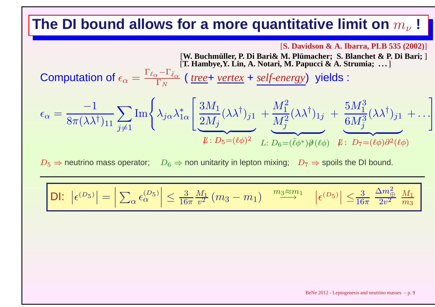#### **The DI bound allows for a more quantitative limit on**  $m_\nu$  $\frac{1}{\nu}$

[**S. Davidson & A. Ibarra, PLB 535 (2002)**]

[W. Buchmüller, P. Di Bari& M. Plümacher; S. Blanchet & P. Di Bari; ] [T. Hambye, Y. Lin, A. Notari, M. Papucci & A. Strumia; ...]

Computation of  $\epsilon_\alpha=$ Γ $\frac{\ell\alpha}{}$ Γ $^{\mathbf{\mathbf{1}}}\,\bar{\ell}_{\alpha}$  $\frac{f_{\alpha} - f_{\alpha}}{\Gamma_N}$  ( <u>tree</u>+ <u>vertex</u> + <u>self-energy</u>) yields :

$$
\epsilon_{\alpha} = \frac{-1}{8\pi(\lambda\lambda^{\dagger})_{11}} \sum_{j\neq 1} \text{Im}\left\{\lambda_{j\alpha}\lambda_{1\alpha}^{*}\left[\frac{3M_{1}}{2M_{j}}(\lambda\lambda^{\dagger})_{j1} + \frac{M_{1}^{2}}{M_{j}^{2}}(\lambda\lambda^{\dagger})_{1j} + \frac{5M_{1}^{3}}{6M_{j}^{3}}(\lambda\lambda^{\dagger})_{j1} + \dots\right] \right\}
$$
  

$$
\mu: D_{5} = (\ell\phi)^{2} L: D_{6} = (\bar{\ell}\phi^{*})\partial(\ell\phi) \quad \mu: D_{7} = (\ell\phi)\partial^{2}(\ell\phi)
$$

 $D_5 \Rightarrow$  neutrino mass operator;  $D_6 \Rightarrow$  non unitarity in lepton mixing;  $D_7 \Rightarrow$  spoils the DI bound.

$$
\left| \text{DI: } \left| \epsilon^{(D_5)} \right| = \left| \sum_{\alpha} \epsilon_{\alpha}^{(D_5)} \right| \le \frac{3}{16\pi} \frac{M_1}{v^2} \left( m_3 - m_1 \right) \xrightarrow{m_3 \approx m_1} \left| \epsilon^{(D_5)} \right| \le \frac{3}{16\pi} \frac{\Delta m_{\bigoplus}^2}{2v^2} \frac{M_1}{m_3}
$$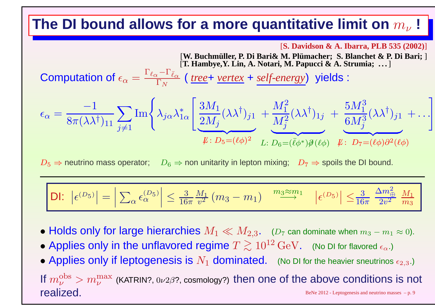#### **The DI bound allows for a more quantitative limit on**  $m_\nu$  $\frac{1}{\nu}$

#### [**S. Davidson & A. Ibarra, PLB 535 (2002)**]

[W. Buchmüller, P. Di Bari& M. Plümacher; S. Blanchet & P. Di Bari; ] [T. Hambye, Y. Lin, A. Notari, M. Papucci & A. Strumia; ...]

Computation of  $\epsilon$  $\epsilon_{\alpha}=$ Γ $\frac{\ell\alpha}{}$ Γ $^{\mathbf{\mathbf{1}}}\,\bar{\ell}_{\alpha}$  $\frac{\epsilon}{\Gamma_N}$  ( <u>tree</u> + *vertex* + *self-energy*) yields :

$$
\epsilon_{\alpha} = \frac{-1}{8\pi(\lambda\lambda^{\dagger})_{11}} \sum_{j\neq 1} \text{Im}\left\{\lambda_{j\alpha}\lambda_{1\alpha}^{*}\left[\frac{3M_{1}}{2M_{j}}(\lambda\lambda^{\dagger})_{j1} + \frac{M_{1}^{2}}{M_{j}^{2}}(\lambda\lambda^{\dagger})_{1j} + \frac{5M_{1}^{3}}{6M_{j}^{3}}(\lambda\lambda^{\dagger})_{j1} + \dots\right] \right\}
$$
  

$$
\mu: D_{5} = (\ell\phi)^{2} L: D_{6} = (\bar{\ell}\phi^{*})\partial(\ell\phi) \quad \mu: D_{7} = (\ell\phi)\partial^{2}(\ell\phi)
$$

 $D_5 \Rightarrow$  neutrino mass operator;  $D_6 \Rightarrow$  non unitarity in lepton mixing;  $D_7 \Rightarrow$  spoils the DI bound.

$$
\left|\,\mathsf{D}\mathsf{I}\colon\,\left|\,\epsilon^{(D_5)}\right\| = \left|\,\sum_\alpha\epsilon_\alpha^{(D_5)}\right| \leq \tfrac{3}{16\pi} \tfrac{M_1}{v^2}\,(m_3-m_1)\,\right| \xrightarrow{m_3\approx m_1} \left|\,\epsilon^{(D_5)}\right| \leq \tfrac{3}{16\pi} \,\tfrac{\Delta m_\oplus^2}{2v^2}\,\tfrac{M_1}{m_3}\,\right|
$$

- $\bullet$  Holds only for large hierarchies  $M_1 \ll M_{2,3}.$   $\quad$  ( $D_7$  can dominate when  $m_3-m_1\approx$  0).
- $\bullet$  Applies only in the unflavored regime  $T\gtrsim10^{12}\,\text{GeV}$ . (No DI for flavored ∼ $\gtrsim 10^{12}\,{\rm GeV}$ . (No DI for flavored  $\epsilon_{\alpha}$ .)
- $\bullet$  Applies only if leptogenesis is  $N_1$  dominated. (No DI for the heavier sneutrinos  $\epsilon_{2,3}$  .)

If  $m_\nu^{\rm obs}$  $\frac{\rm obs}{\nu} > m_\nu^{\rm max}$ ν $^{\max}_{\nu}$  (KATRIN?,  $0\nu2\beta$ ?, cosmology?) then one of the above conditions is not realized.BeNe  $2012$  - Leptogenesis and neutrino masses  $-$  p. 9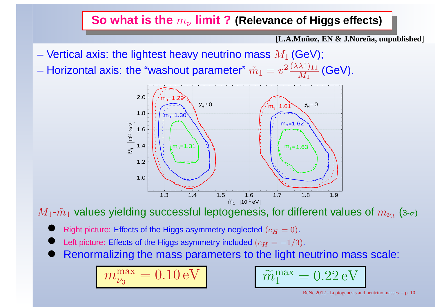# **So what is the** <sup>m</sup><sup>ν</sup> **limit ? (Relevance of Higgs effects)**

[**L.A.Munoz, EN & J.Nore ˜ na, unpublished ˜** ]

- Vertical axis: the lightest heavy neutrino mass  $M_1$  (GeV);
- Horizontal axis: the "washout parameter"  $\tilde{m}_1 = v^2 \frac{(\lambda \lambda^{\dagger})_{11}}{M_1}$  (GeV).



 $M_1\text{-}\tilde{m}_1$  values yielding successful leptogenesis, for different values of  $m_{\nu_3}$  (3- $\sigma$ )

- $\bullet$ Right picture: Effects of the Higgs asymmetry neglected  $(c_H = 0)$ .
- $\bullet$ Left picture: Effects of the Higgs asymmetry included  $(c_H = -1/3)$ .
- $\bullet$ Renormalizing the mass parameters to the light neutrino mass scale:

$$
m_{\nu_3}^{\rm max}=0.10\,{\rm eV}
$$

$$
V \qquad \qquad \boxed{\widetilde{m}_1^{\max} = 0.22 \,\text{eV}}
$$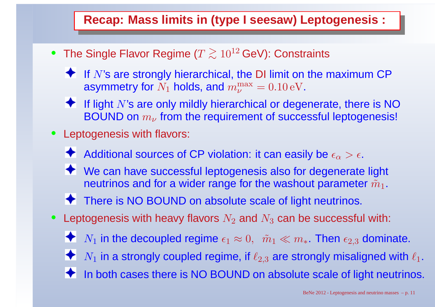## **Recap: Mass limits in (type I seesaw) Leptogenesis :**

- •• The Single Flavor Regime ( $T\gtrsim$ ∼ $\gtrsim 10^{12}$  GeV): Constraints
	- If  $N$ 's are strongly hierarchical, the DI limit on the maximum CP asymmetry for  $N_1$  holds, and  $m_\nu^\mathrm{max}$  $_{\nu}^{\rm max}=0.10 \, {\rm eV}.$
	- If light  $N$ 's are only mildly hierarchical or degenerate, there is NO  $\,$  $\mathsf{BOUND}$  on  $m_\nu$  $_{\nu}$  from the requirement of successful leptogenesis!
- Leptogenesis with flavors:  $\bullet$ 
	- Additional sources of CP violation: it can easily be  $\epsilon_\alpha > \epsilon.$
	- ◆ We can have successful leptogenesis also for degenerate light neutrinos and for a wider range for the washout parameter  $\tilde{m}_1.$
	- ◆ There is NO BOUND on absolute scale of light neutrinos.
- $\bullet$  $\bullet~$  Leptogenesis with heavy flavors  $N_2$  and  $N_3$  can be successful with:
	- $N_1$  in the decoupled regime  $\epsilon_1\approx0,~~\tilde{m}_1\ll m_*$ . Then  $\epsilon_{2,3}$  dominate.
	- $N_1$  in a strongly coupled regime, if  $\ell_{2,3}$  are strongly misaligned with  $\ell_1.$
	- ◆ In both cases there is NO BOUND on absolute scale of light neutrinos.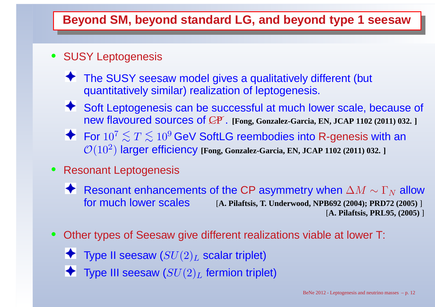## **Beyond SM, beyond standard LG, and beyond type <sup>1</sup> seesaw**

### • SUSY Leptogenesis

- ◆ The SUSY seesaw model gives a qualitatively different (but quantitatively similar) realization of leptogenesis.
- ◆ Soft Leptogenesis can be successful at much lower scale, because of new flavoured sources of CP✟✟. **[Fong, Gonzalez-Garcia, EN, JCAP <sup>1102</sup> (2011) 032. ]**
- For  $10^7$  $^{7}$   $\lesssim T$   $\lesssim$  $\mathcal{O}(10^2)$  lar  $\lesssim 10^9$  GeV SoftLG reembodies into R-genesis with an <br>r efficiency rens Gorzalez-Garcia EN JCAP 1102 (2011) 032 J ) larger efficiency **[Fong, Gonzalez-Garcia, EN, JCAP <sup>1102</sup> (2011) 032. ]**
- $\bullet$  Resonant Leptogenesis
	- Resonant enhancements of the CP asymmetry when  $\Delta M\sim\Gamma_N$  [**A. Pilaftsis, T. Underwood, NPB692 (2004); PRD72 (2005)** ]  $\frac{N}{4}$  allow<br> $\frac{1}{2}$ for much lower scales[**A. Pilaftsis, PRL95, (2005)** ]
- $\bullet$  Other types of Seesaw give different realizations viable at lower T:
	- - Type II seesaw  $(SU(2)_L$  $_L$  scalar triplet)
		- Type III seesaw  $(SU(2)_L$  $_L$  fermion triplet)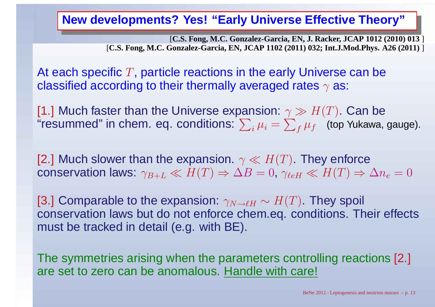## **New developments? Yes! "Early Universe Effective Theory"**

[**C.S. Fong, M.C. Gonzalez-Garcia, EN, J. Racker, JCAP 1012 (2010) 013** ] [C.S. Fong, M.C. Gonzalez-Garcia, EN, JCAP 1102 (2011) 032; Int.J.Mod.Phys. A26 (2011) ]

At each specific  $T$ , particle reactions in the early Universe can be classified according to their thermally averaged rates  $\gamma$  as:

[1.] Much faster than the Universe expansion:  $\gamma\gg H(T)$ . Can be re 11 "resummed" in chem. eq. conditions:  $\sum_i \mu_i = \sum_f \mu_f \;$  (top Yukawa, gauge).

[2.] Much slower than the expansion.  $\gamma \ll H(T)$ . They enforce ) conservation laws:  $\gamma_{B+L} \ll H(T) \Rightarrow \Delta B = 0$ ,  $\gamma_{\ell e H} \ll H(T) \Rightarrow \Delta n_e$  $_e = 0$ 

[3.] Comparable to the expansion:  $\gamma_{N \to \ell H} \sim H(T)$ . They spoil 20 cham c conservation laws but do not enforce chem.eq. conditions. Their effectsmust be tracked in detail (e.g. with BE).

The symmetries arising when the parameters controlling reactions [2.] are set to zero can be anomalous. Handle with care!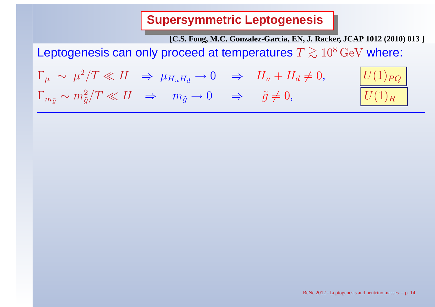**Supersymmetric Leptogenesis**

[**C.S. Fong, M.C. Gonzalez-Garcia, EN, J. Racker, JCAP 1012 (2010) 013** ]

Leptogenesis can only proceed at temperatures  $T\gtrsim$ ∼ $\gtrsim 10^8\,{\rm GeV}$  where:

Γ $\mu$ ∼ $\mu$  $^{2}/T$ ≪ $\,H$ ⇒ $\mu$ H $\boldsymbol{\mathit{u}}$  $\boldsymbol{H}$ d $\longrightarrow$  $\rm 0$ ⇒ $H_{\bm u}$  $\, + \,$  $H_d\,$  $\Gamma_{m_{\tilde g}}\thicksim m$ 2 $\tilde{g}/T \ll H \Rightarrow m_{\tilde{g}} \to 0 \Rightarrow \tilde{g} \neq 0,$   $U(1)$ 

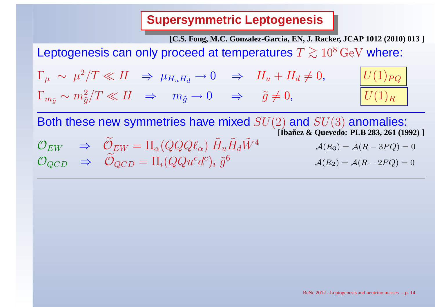**Supersymmetric Leptogenesis**

[**C.S. Fong, M.C. Gonzalez-Garcia, EN, J. Racker, JCAP 1012 (2010) 013** ]

Leptogenesis can only proceed at temperatures  $T\gtrsim$ ∼ $\gtrsim 10^8\,{\rm GeV}$  where:

 $\Gamma_\mu \;\sim\; \mu^2/T \ll H \;\;\Rightarrow\; \mu_{H_u H_d}$ **Contract Contract Contract Contract**  $\rightarrow 0 \Rightarrow H_u + H_d \neq 0, \qquad U(1)_{PQ}$  $\Gamma_{m_{\tilde{g}}} \sim m_{\tilde{g}}^2/T \ll H \Rightarrow m_{\tilde{g}} \to 0 \Rightarrow \tilde{g}$ 2 $\tilde{g}/T \ll H \Rightarrow m_{\tilde{g}} \to 0 \Rightarrow \tilde{g} \neq 0,$   $U(1)$ 



Both these new symmetries have mixed  $SU(2)$  and  $SU(3)$  anomalies: [**Ibanez & Quevedo: PLB 283, 261 (1992) ˜** ]

$$
\mathcal{O}_{EW} \quad \Rightarrow \quad \widetilde{\mathcal{O}}_{EW} = \Pi_{\alpha} (QQQ \ell_{\alpha}) \tilde{H}_{u} \tilde{H}_{d} \tilde{W}^{4} \qquad \qquad \mathcal{A}(R_3) = \mathcal{A}(R - 3PQ) = 0
$$
\n
$$
\mathcal{O}_{QCD} \quad \Rightarrow \quad \widetilde{\mathcal{O}}_{QCD} = \Pi_{i} (QQu^{c}d^{c})_{i} \tilde{g}^{6} \qquad \qquad \mathcal{A}(R_2) = \mathcal{A}(R - 2PQ) = 0
$$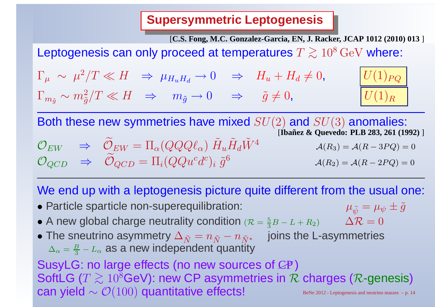**Supersymmetric Leptogenesis**

[**C.S. Fong, M.C. Gonzalez-Garcia, EN, J. Racker, JCAP 1012 (2010) 013** ]

 $\lceil (1)_{PO}\rceil$ 

 $\, R \,$ 

Leptogenesis can only proceed at temperatures  $T\gtrsim$ ∼ $\gtrsim 10^8\,{\rm GeV}$  where:

 $\Gamma_\mu \;\sim\; \mu^2/T \ll H \;\;\Rightarrow\; \mu_{H_u H_d}$  $\Gamma_{m_{\tilde{g}}} \sim m_{\tilde{g}}^2/T \ll H \quad \Rightarrow \quad m_{\tilde{g}} \to 0 \quad \Rightarrow \quad \tilde{g} =$  $\;\rightarrow 0\;\;\;\Rightarrow\;\;H_u+H_d$ 2 $\tilde{g}/T \ll H \Rightarrow m_{\tilde{g}} \to 0 \Rightarrow \tilde{g} \neq 0,$   $U(1)$ 

Both these new symmetries have mixed  $SU(2)$  and  $SU(3)$  anomalies:

$$
\mathcal{O}_{EW} \Rightarrow \widetilde{\mathcal{O}}_{EW} = \Pi_{\alpha}(QQQ\ell_{\alpha}) \widetilde{H}_{u} \widetilde{H}_{d} \widetilde{W}^{4} \qquad \text{(Bañez & Quevedo: PLB 283, 261 (1992))}
$$
\n
$$
\mathcal{O}_{QCD} \Rightarrow \widetilde{\mathcal{O}}_{QCD} = \Pi_{i}(QQu^{c}d^{c})_{i} \widetilde{g}^{6} \qquad \mathcal{A}(R_{2}) = \mathcal{A}(R - 2PQ) = 0
$$

We end up with a leptogenesis picture quite different from the usual one:

- Particle sparticle non-superequilibration:
- $\mu_{\tilde{\psi}}=\mu_{\psi}\pm\tilde{g}$ • A new global charge neutrality condition  $(R = \frac{5}{3}B - L + R_2)$   $\Delta R = 0$
- $\bullet$  The sneutrino asymmetry  $\Delta_{\tilde{N}}=n_{\tilde{N}}-n_{\tilde{N}^*}$  joins the L-asymmetries
	- $\Delta_\alpha=\frac{B}{2}-L_\alpha$  as a new independent quant  $\frac{\mathsf{D}}{3}-L_\alpha$  $_{\alpha}$  as a new independent quantity

SusyLG: no large effects (no new sources of  $C\!P$  ) SoftLG ( $T\gtrsim 10^8$ GeV): new CP asymmetries in  $\cal F$ can yield  $\sim \mathcal{O}(100)$  quantitative effects! BeNe 2012 - Leptogenesis and neutrino masses – p. 14  $\gtrsim 10^8$ GeV): new CP asymmetries in  $\mathcal R$  charges ( $\mathcal R$ -genesis)<br>  $\phi$  (2010) quantitative effects!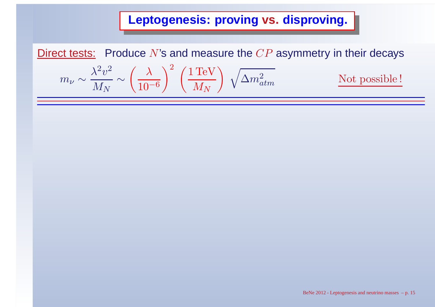<u>Direct tests:</u> Produce  $N$ 's and measure the  $CP$  asymmetry in their decays

$$
m_{\nu} \sim \frac{\lambda^2 v^2}{M_N} \sim \left(\frac{\lambda}{10^{-6}}\right)^2 \left(\frac{1 \,\text{TeV}}{M_N}\right) \sqrt{\Delta m_{atm}^2}
$$

Not possible !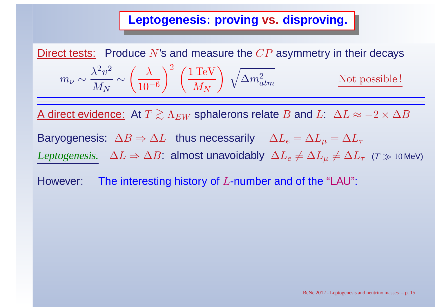<u>Direct tests:</u> Produce  $N$ 's and measure the  $CP$  asymmetry in their decays

$$
m_{\nu} \sim \frac{\lambda^2 v^2}{M_N} \sim \left(\frac{\lambda}{10^{-6}}\right)^2 \left(\frac{1 \text{ TeV}}{M_N}\right) \sqrt{\Delta m_{atm}^2}
$$
 Not possible!

A direct evidence: At  $T \gtrsim \Lambda_{EW}$  sphalerons relate  $B$  and  $L$ :  $\Delta L \approx -2 \times \Delta B$ 

Baryogenesis:  $\Delta B \Rightarrow \Delta L$  thus necessarily  $\Delta L_e = \Delta L_\mu = \Delta L_\tau$ 

Leptogenesis.  $\Delta L \Rightarrow \Delta B$ : almost unavoidably  $\Delta L_e \neq \Delta L_\mu \neq \Delta L_\tau$  ( $\tau \gg$  10 MeV)

However:: The interesting history of  $L$ -number and of the "LAU":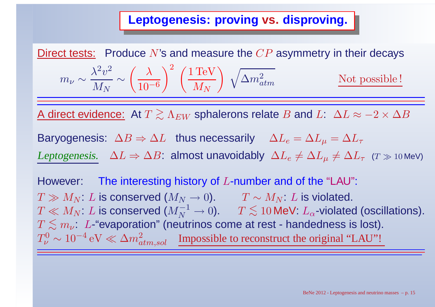<u>Direct tests:</u> Produce  $N$ 's and measure the  $CP$  asymmetry in their decays

$$
m_{\nu} \sim \frac{\lambda^2 v^2}{M_N} \sim \left(\frac{\lambda}{10^{-6}}\right)^2 \left(\frac{1 \text{ TeV}}{M_N}\right) \sqrt{\Delta m_{atm}^2}
$$
 Not possible!

A direct evidence: At  $T \gtrsim \Lambda_{EW}$  sphalerons relate  $B$  and  $L$ :  $\Delta L \approx -2 \times \Delta B$ 

Baryogenesis:  $\Delta B \Rightarrow \Delta L$  thus necessarily  $\Delta L_e = \Delta L_\mu = \Delta L_\tau$ 

Leptogenesis.  $\Delta L \Rightarrow \Delta B$ : almost unavoidably  $\Delta L_e \neq \Delta L_\mu \neq \Delta L_\tau$  ( $\tau \gg$  10 MeV)

However:: The interesting history of  $L$ -number and of the "LAU":  $T \gg M_N$ :  $L$  is conserved  $(M_N \to 0)$ .  $T \sim M_N$ :  $L$  is violated.<br> $T \ll M_N$ :  $L$  is conserved  $(M^{-1} \to 0)$  .  $T \leq 10$  MeV:  $L$  -violate  $T \ll M_N$ :  $L$  is conserved  $(M_N^{-1} \to 0)$ .  $T \lesssim 10$  MeV:  $L_\alpha$ -violated (oscillations).<br> $T \leq m + L$ -"evanoration" (neutrinos come at rest - handedness is lost)  $T \lesssim m_\nu$ : L-"evaporation" (neutrinos come at rest - handedness is lost).<br> $T^0 \sim 10^{-4}$  eV  $\ll \Delta m^2$  . Impossible to reconstruct the original ''LALL''!  $T_\nu^0$  $\frac{C_0}{\nu} \sim 10^{-4} \text{ eV} \ll \Delta m_{atm,sol}^2$  Impossible to reconstruct the original "LAU"!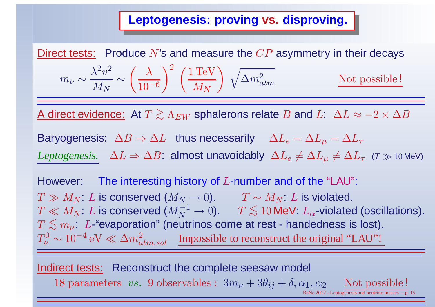<u>Direct tests:</u> Produce  $N$ 's and measure the  $CP$  asymmetry in their decays

$$
m_{\nu} \sim \frac{\lambda^2 v^2}{M_N} \sim \left(\frac{\lambda}{10^{-6}}\right)^2 \left(\frac{1 \text{ TeV}}{M_N}\right) \sqrt{\Delta m_{atm}^2}
$$
 Not possible!

A direct evidence: At  $T \gtrsim \Lambda_{EW}$  sphalerons relate  $B$  and  $L$ :  $\Delta L \approx -2 \times \Delta B$ 

Baryogenesis:  $\Delta B \Rightarrow \Delta L$  thus necessarily  $\Delta L_e = \Delta L_\mu = \Delta L_\tau$ 

Leptogenesis.  $\Delta L \Rightarrow \Delta B$ : almost unavoidably  $\Delta L_e \neq \Delta L_\mu \neq \Delta L_\tau$  ( $\tau \gg$  10 MeV)

However:: The interesting history of  $L$ -number and of the "LAU":  $T \gg M_N$ :  $L$  is conserved  $(M_N \to 0)$ .  $T \sim M_N$ :  $L$  is violated.<br> $T \ll M_N$ :  $L$  is conserved  $(M^{-1} \to 0)$  .  $T \leq 10$  MeV:  $L$  -violate  $T \ll M_N$ :  $L$  is conserved  $(M_N^{-1} \to 0)$ .  $T \lesssim 10$  MeV:  $L_\alpha$ -violated (oscillations).<br> $T \leq m + L$ -"evanoration" (neutrinos come at rest - handedness is lost)  $T \lesssim m_\nu$ : L-"evaporation" (neutrinos come at rest - handedness is lost).<br> $T^0 \sim 10^{-4}$  eV  $\ll \Delta m^2$  . Impossible to reconstruct the original ''LALL''!  $T_\nu^0$  $\frac{C_0}{\nu} \sim 10^{-4} \text{ eV} \ll \Delta m_{atm,sol}^2$  Impossible to reconstruct the original "LAU"!

Indirect tests: Reconstruct the complete seesaw model  $18 \text{ parameters } \textit{vs. 9} \text{ observables}: 3m_\nu+3\theta_{ij}+\delta, \alpha_1, \alpha_2 \text{Not possible!} \over \text{\tiny{BeNe 2012-Leptogenesis and neutrino masses - p. 1.}}}$ BeNe  $2012$  - Leptogenesis and neutrino masses  $-$  p. 15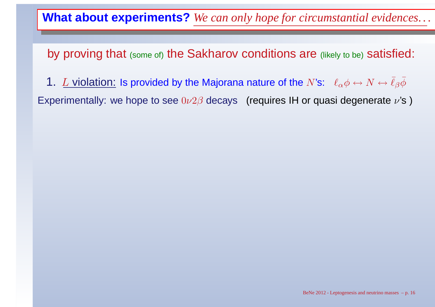by proving that (some of) the Sakharov conditions are (likely to be) satisfied:

1.  $L$  violation: Is provided by the Majorana nature of the  $N$ 's:  $~\ell_{\alpha}\phi\leftrightarrow N\leftrightarrow$  $\bar{\ell}_\beta\bar{\phi}$ 

Experimentally: we hope to see  $0\nu2\beta$  decays (requires IH or quasi degenerate  $\nu$ 's )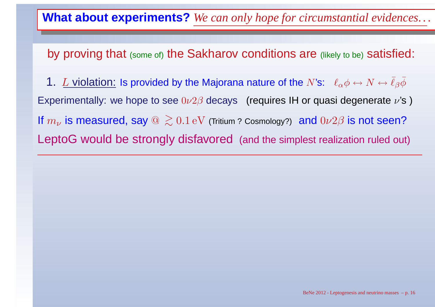by proving that (some of) the Sakharov conditions are (likely to be) satisfied:

1.  $L$  violation: Is provided by the Majorana nature of the  $N$ 's:  $~\ell_{\alpha}\phi\leftrightarrow N\leftrightarrow$ Experimentally: we hope to see  $0\nu2\beta$  decays (requires IH or quasi degenerate  $\nu$ 's )  $\bar{\ell}_\beta\bar{\phi}$ If  $m_\nu$  LeptoG would be strongly disfavored (and the simplest realization ruled out)  $_{\nu}$  is measured, say  $@>\sim$ ∼ $0.1\,\mathrm{eV}$  (Tritium ? Cosmology?)  $\,$  and  $0\nu2\beta$  is not seen?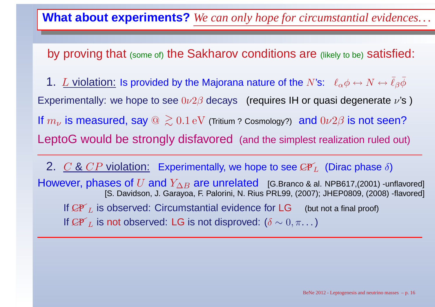by proving that (some of) the Sakharov conditions are (likely to be) satisfied:

1.  $L$  violation: Is provided by the Majorana nature of the  $N$ 's:  $~\ell_{\alpha}\phi\leftrightarrow N\leftrightarrow$ Experimentally: we hope to see  $0\nu2\beta$  decays (requires IH or quasi degenerate  $\nu$ 's )  $\bar{\ell}_\beta\bar{\phi}$ If  $m_\nu$  LeptoG would be strongly disfavored (and the simplest realization ruled out)  $_{\nu}$  is measured, say  $@>\sim$ ∼ $0.1\,\mathrm{eV}$  (Tritium ? Cosmology?)  $\,$  and  $0\nu2\beta$  is not seen?

2.  $\underline{C}$  &  $\overline{CP}$  violation: Experimentally, we hope to see  $\mathcal{CP}_L$  (Dirac phase  $\delta$ )  $\bm{\mathsf{However}},$  phases of  $U$  and  $Y_{\Delta B}$  are unrelated [G.Branco & al. NPB617,(2001) -unflavored]<br>IS Davidson J Garavoa E Palorini N Rius PRI 99 (2007): JHEP0809 (2008) -flavored] [S. Davidson, J. Garayoa, F. Palorini, N. Rius PRL99, (2007); JHEP0809, (2008) -flavored] If  ${C\!P'}_L$ If  ${C\!\!P'}_L$  $I_L$  is observed: Circumstantial evidence for  $LG$  (but not a final proof)  $_L$  is not observed: LG is not disproved:  $(\delta \sim 0, \pi. \ldots)$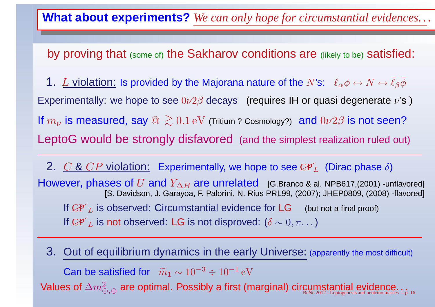by proving that (some of) the Sakharov conditions are (likely to be) satisfied:

1.  $L$  violation: Is provided by the Majorana nature of the  $N$ 's:  $~\ell_{\alpha}\phi\leftrightarrow N\leftrightarrow$ Experimentally: we hope to see  $0\nu2\beta$  decays (requires IH or quasi degenerate  $\nu$ 's )  $\bar{\ell}_\beta\bar{\phi}$ If  $m_\nu$  LeptoG would be strongly disfavored (and the simplest realization ruled out)  $_{\nu}$  is measured, say  $@>\sim$ ∼ $0.1\,\mathrm{eV}$  (Tritium ? Cosmology?)  $\,$  and  $0\nu2\beta$  is not seen?

2.  $\underline{C}$  &  $\overline{CP}$  violation: Experimentally, we hope to see  $\mathcal{CP}_L$  (Dirac phase  $\delta$ )  $\bm{\mathsf{However}},$  phases of  $U$  and  $Y_{\Delta B}$  are unrelated [G.Branco & al. NPB617,(2001) -unflavored]<br>IS Davidson J Garavoa E Palorini N Rius PRI 99 (2007): JHEP0809 (2008) -flavored] [S. Davidson, J. Garayoa, F. Palorini, N. Rius PRL99, (2007); JHEP0809, (2008) -flavored] If  ${C\!P'}_L$ If  ${C\!\!P'}_L$  $I_L$  is observed: Circumstantial evidence for  $LG$  (but not a final proof)  $_L$  is not observed: LG is not disproved:  $(\delta \sim 0, \pi. \ldots)$ 

3. Out of equilibrium dynamics in the early Universe: (apparently the most difficult) Can be satisfied for  $\;\widetilde{m}_1\sim 10^{-3}$ Values of  $\Delta m^2_{\odot, \oplus}$  are optimal. Possibly a first (  $^{3} \div 10^{-1}\,\mathrm{eV}$  ⊙,⊕ $a_{\oplus}$  are optimal. Possibly a first (marginal) circumstantial evidence... $b_{\tiny{\text{BeNe 2012-Leptogenesis and neutrino masses 5-}p. 16}}$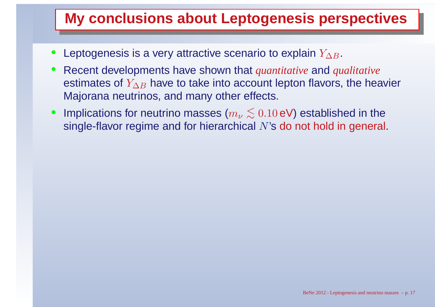- • $\bullet~$  Leptogenesis is a very attractive scenario to explain  $Y_{\Delta B}.$
- Recent developments have shown that *quantitative* and *qualitative* •estimates of  $Y_{\Delta B}$  Majorana neutrinos, and many other effects.  $B$  have to take into account lepton flavors, the heavier
- • $\bullet~$  Implications for neutrino masses  $(m_\nu$ rh  $<$  $\lesssim0.10\,\mathsf{eV}$ ) established in the single-flavor regime and for hierarchical  $N$ 's do not hold in general.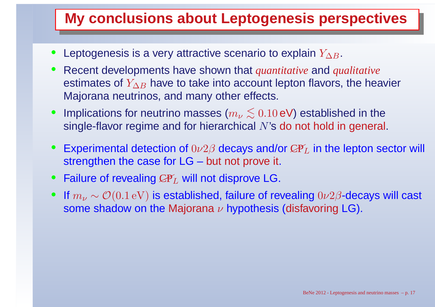- • $\bullet~$  Leptogenesis is a very attractive scenario to explain  $Y_{\Delta B}.$
- Recent developments have shown that *quantitative* and *qualitative* •estimates of  $Y_{\Delta B}$  Majorana neutrinos, and many other effects.  $B$  have to take into account lepton flavors, the heavier
- • $\bullet~$  Implications for neutrino masses  $(m_\nu$ rh  $<$  $\lesssim0.10\,\mathsf{eV}$ ) established in the single-flavor regime and for hierarchical  $N$ 's do not hold in general.
- $\bullet$ • Experimental detection of  $0\nu2\beta$  decays and/or  $\mathcal{CP}_L$  in the lepton sector will strengthen the case for LG – but not prove it.
- $\bullet$ • Failure of revealing  ${\mathcal{CP}}_L$  will not disprove LG.
- $\bullet$  $\bullet$  If  $m_\nu$  $\omega_{\nu} \sim \mathcal{O}(0.1\,\mathrm{eV})$  is established, failure of revealing  $0\nu2\beta$ -decays will cast<br>po shadow an the Meiarana whypathesis (disfavoring LC) some shadow on the Majorana  $\nu$  hypothesis (disfavoring LG).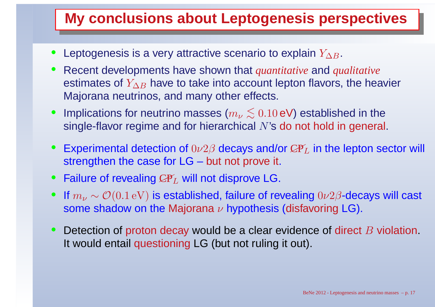- • $\bullet~$  Leptogenesis is a very attractive scenario to explain  $Y_{\Delta B}.$
- Recent developments have shown that *quantitative* and *qualitative* •estimates of  $Y_{\Delta B}$  Majorana neutrinos, and many other effects.  $B$  have to take into account lepton flavors, the heavier
- • $\bullet~$  Implications for neutrino masses  $(m_\nu$ rh  $<$  $\lesssim0.10\,\mathsf{eV}$ ) established in the single-flavor regime and for hierarchical  $N$ 's do not hold in general.
- $\bullet$ • Experimental detection of  $0\nu2\beta$  decays and/or  $\mathcal{CP}_L$  in the lepton sector will strengthen the case for LG – but not prove it.
- $\bullet$ • Failure of revealing  ${\mathcal{CP}}_L$  will not disprove LG.
- $\bullet$  $\bullet$  If  $m_\nu$  $\omega_{\nu} \sim \mathcal{O}(0.1\,\mathrm{eV})$  is established, failure of revealing  $0\nu2\beta$ -decays will cast<br>po shadow an the Meiarana whypathesis (disfavoring LC) some shadow on the Majorana  $\nu$  hypothesis (disfavoring LG).
- $\bullet$ • Detection of proton decay would be a clear evidence of direct B violation. It would entail questioning LG (but not ruling it out).